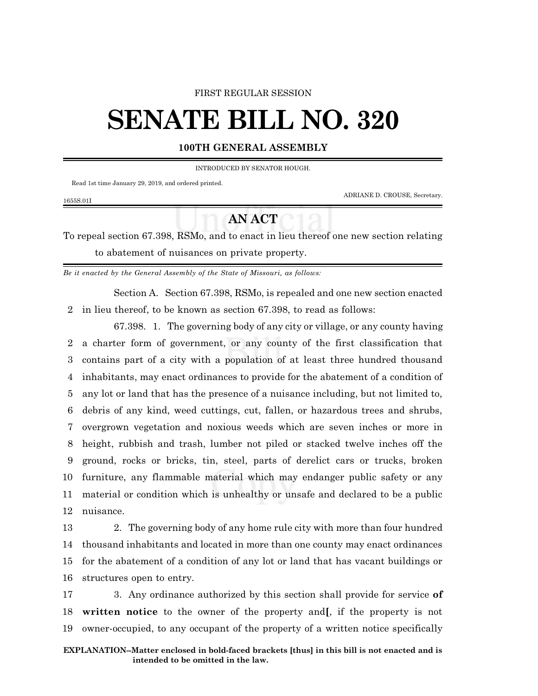## FIRST REGULAR SESSION

## **SENATE BILL NO. 320**

## **100TH GENERAL ASSEMBLY**

INTRODUCED BY SENATOR HOUGH.

Read 1st time January 29, 2019, and ordered printed.

1655S.01I

ADRIANE D. CROUSE, Secretary.

## **AN ACT**

To repeal section 67.398, RSMo, and to enact in lieu thereof one new section relating to abatement of nuisances on private property.

*Be it enacted by the General Assembly of the State of Missouri, as follows:*

Section A. Section 67.398, RSMo, is repealed and one new section enacted 2 in lieu thereof, to be known as section 67.398, to read as follows:

67.398. 1. The governing body of any city or village, or any county having a charter form of government, or any county of the first classification that contains part of a city with a population of at least three hundred thousand inhabitants, may enact ordinances to provide for the abatement of a condition of any lot or land that has the presence of a nuisance including, but not limited to, debris of any kind, weed cuttings, cut, fallen, or hazardous trees and shrubs, overgrown vegetation and noxious weeds which are seven inches or more in height, rubbish and trash, lumber not piled or stacked twelve inches off the ground, rocks or bricks, tin, steel, parts of derelict cars or trucks, broken furniture, any flammable material which may endanger public safety or any material or condition which is unhealthy or unsafe and declared to be a public nuisance.

 2. The governing body of any home rule city with more than four hundred thousand inhabitants and located in more than one county may enact ordinances for the abatement of a condition of any lot or land that has vacant buildings or structures open to entry.

17 3. Any ordinance authorized by this section shall provide for service **of** 18 **written notice** to the owner of the property and**[**, if the property is not 19 owner-occupied, to any occupant of the property of a written notice specifically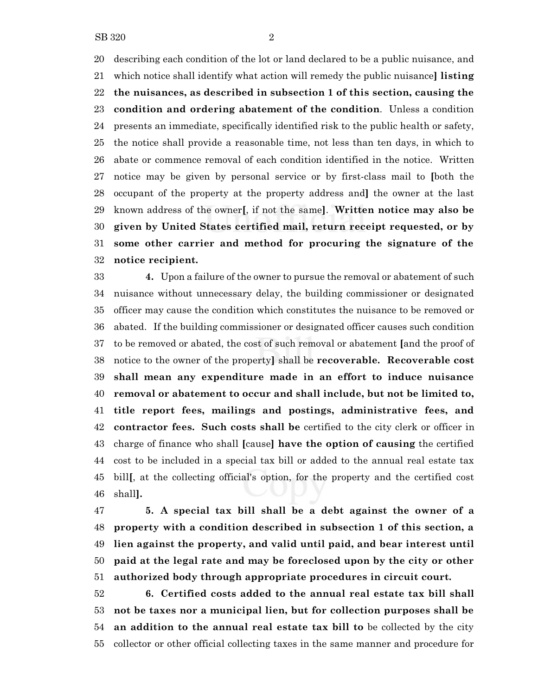describing each condition of the lot or land declared to be a public nuisance, and which notice shall identify what action will remedy the public nuisance**] listing the nuisances, as described in subsection 1 of this section, causing the condition and ordering abatement of the condition**. Unless a condition presents an immediate, specifically identified risk to the public health or safety, the notice shall provide a reasonable time, not less than ten days, in which to abate or commence removal of each condition identified in the notice. Written notice may be given by personal service or by first-class mail to **[**both the occupant of the property at the property address and**]** the owner at the last known address of the owner**[**, if not the same**]**. **Written notice may also be given by United States certified mail, return receipt requested, or by some other carrier and method for procuring the signature of the notice recipient.**

 **4.** Upon a failure of the owner to pursue the removal or abatement of such nuisance without unnecessary delay, the building commissioner or designated officer may cause the condition which constitutes the nuisance to be removed or abated. If the building commissioner or designated officer causes such condition to be removed or abated, the cost of such removal or abatement **[**and the proof of notice to the owner of the property**]** shall be **recoverable. Recoverable cost shall mean any expenditure made in an effort to induce nuisance removal or abatement to occur and shall include, but not be limited to, title report fees, mailings and postings, administrative fees, and contractor fees. Such costs shall be** certified to the city clerk or officer in charge of finance who shall **[**cause**] have the option of causing** the certified cost to be included in a special tax bill or added to the annual real estate tax bill**[**, at the collecting official's option, for the property and the certified cost shall**].**

 **5. A special tax bill shall be a debt against the owner of a property with a condition described in subsection 1 of this section, a lien against the property, and valid until paid, and bear interest until paid at the legal rate and may be foreclosed upon by the city or other authorized body through appropriate procedures in circuit court.**

 **6. Certified costs added to the annual real estate tax bill shall not be taxes nor a municipal lien, but for collection purposes shall be an addition to the annual real estate tax bill to** be collected by the city collector or other official collecting taxes in the same manner and procedure for